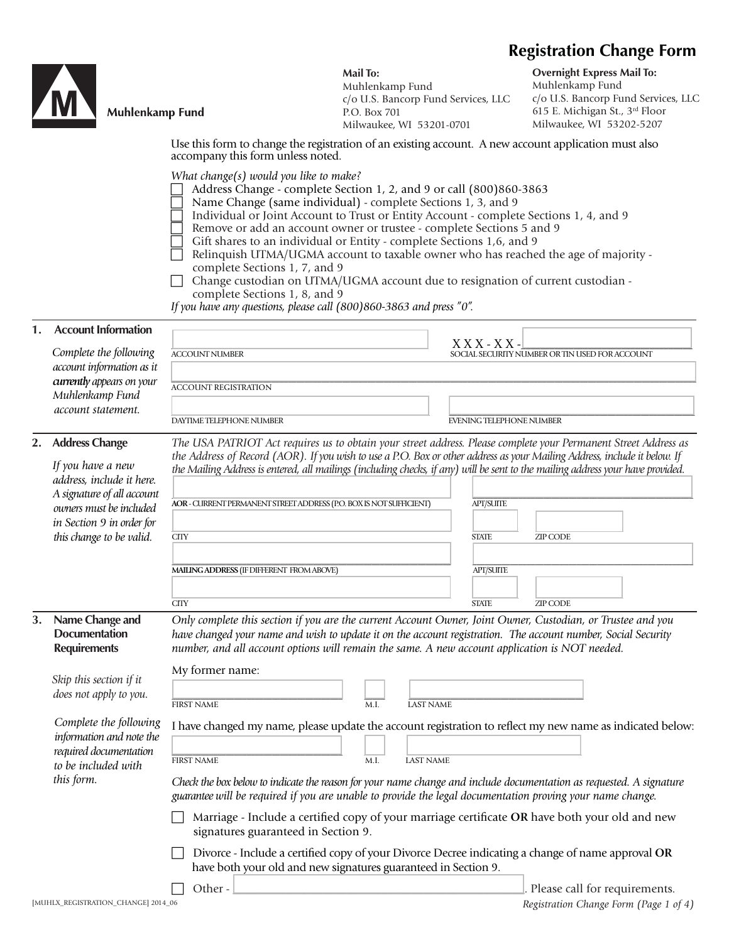# **Registration Change Form**



## **Muhlenkamp Fund**

**Mail To:** Muhlenkamp Fund c/o U.S. Bancorp Fund Services, LLC P.O. Box 701 Milwaukee, WI 53201-0701

**Overnight Express Mail To:** Muhlenkamp Fund c/o U.S. Bancorp Fund Services, LLC 615 E. Michigan St., 3rd Floor Milwaukee, WI 53202-5207

Use this form to change the registration of an existing account. A new account application must also accompany this form unless noted.

*What change(s) would you like to make?* 

- Address Change complete Section 1, 2, and 9 or call (800)860-3863
- Name Change (same individual) complete Sections 1, 3, and 9
- Individual or Joint Account to Trust or Entity Account complete Sections 1, 4, and 9
- Remove or add an account owner or trustee complete Sections 5 and 9
	- Gift shares to an individual or Entity complete Sections 1,6, and 9
- Relinquish UTMA/UGMA account to taxable owner who has reached the age of majority complete Sections 1, 7, and 9
- Change custodian on UTMA/UGMA account due to resignation of current custodian complete Sections 1, 8, and 9

*If you have any questions, please call (800)860-3863 and press "0".*

| 1. | <b>Account Information</b>                                     |                                                                                                                                                                                                                                                                                                                                |  |  |
|----|----------------------------------------------------------------|--------------------------------------------------------------------------------------------------------------------------------------------------------------------------------------------------------------------------------------------------------------------------------------------------------------------------------|--|--|
|    | Complete the following                                         | $X$ X X - X X -<br>SOCIAL SECURITY NUMBER OR TIN USED FOR ACCOUNT<br><b>ACCOUNT NUMBER</b>                                                                                                                                                                                                                                     |  |  |
|    | account information as it                                      |                                                                                                                                                                                                                                                                                                                                |  |  |
|    | currently appears on your                                      | <b>ACCOUNT REGISTRATION</b>                                                                                                                                                                                                                                                                                                    |  |  |
|    | Muhlenkamp Fund<br>account statement.                          |                                                                                                                                                                                                                                                                                                                                |  |  |
|    |                                                                | DAYTIME TELEPHONE NUMBER<br><b>EVENING TELEPHONE NUMBER</b>                                                                                                                                                                                                                                                                    |  |  |
| 2. | <b>Address Change</b>                                          | The USA PATRIOT Act requires us to obtain your street address. Please complete your Permanent Street Address as                                                                                                                                                                                                                |  |  |
|    | If you have a new                                              | the Address of Record (AOR). If you wish to use a P.O. Box or other address as your Mailing Address, include it below. If                                                                                                                                                                                                      |  |  |
|    | address, include it here.                                      | the Mailing Address is entered, all mailings (including checks, if any) will be sent to the mailing address your have provided.                                                                                                                                                                                                |  |  |
|    | A signature of all account                                     | <b>AOR - CURRENT PERMANENT STREET ADDRESS (P.O. BOX IS NOT SUFFICIENT)</b><br><b>APT/SUITE</b>                                                                                                                                                                                                                                 |  |  |
|    | owners must be included                                        |                                                                                                                                                                                                                                                                                                                                |  |  |
|    | in Section 9 in order for<br>this change to be valid.          | <b>CITY</b><br><b>STATE</b><br><b>ZIP CODE</b>                                                                                                                                                                                                                                                                                 |  |  |
|    |                                                                |                                                                                                                                                                                                                                                                                                                                |  |  |
|    |                                                                | MAILING ADDRESS (IF DIFFERENT FROM ABOVE)<br>APT/SUITE                                                                                                                                                                                                                                                                         |  |  |
|    |                                                                |                                                                                                                                                                                                                                                                                                                                |  |  |
|    |                                                                | <b>CITY</b><br><b>STATE</b><br><b>ZIP CODE</b>                                                                                                                                                                                                                                                                                 |  |  |
| 3. | Name Change and<br><b>Documentation</b><br><b>Requirements</b> | Only complete this section if you are the current Account Owner, Joint Owner, Custodian, or Trustee and you<br>have changed your name and wish to update it on the account registration. The account number, Social Security<br>number, and all account options will remain the same. A new account application is NOT needed. |  |  |
|    |                                                                | My former name:                                                                                                                                                                                                                                                                                                                |  |  |
|    | Skip this section if it<br>does not apply to you.              |                                                                                                                                                                                                                                                                                                                                |  |  |
|    |                                                                | <b>FIRST NAME</b><br>M.I.<br><b>LAST NAME</b>                                                                                                                                                                                                                                                                                  |  |  |
|    | Complete the following<br>information and note the             | I have changed my name, please update the account registration to reflect my new name as indicated below:                                                                                                                                                                                                                      |  |  |
|    | required documentation<br>to be included with                  | <b>FIRST NAME</b><br><b>LAST NAME</b><br>M.I.                                                                                                                                                                                                                                                                                  |  |  |
|    | this form.                                                     | Check the box below to indicate the reason for your name change and include documentation as requested. A signature<br>guarantee will be required if you are unable to provide the legal documentation proving your name change.                                                                                               |  |  |
|    |                                                                | Marriage - Include a certified copy of your marriage certificate OR have both your old and new<br>signatures guaranteed in Section 9.                                                                                                                                                                                          |  |  |
|    |                                                                | Divorce - Include a certified copy of your Divorce Decree indicating a change of name approval OR<br>have both your old and new signatures guaranteed in Section 9.                                                                                                                                                            |  |  |
|    |                                                                | Please call for requirements.<br>Other-                                                                                                                                                                                                                                                                                        |  |  |

[MUHLX\_REGISTRATION\_CHANGE] 2014\_06 *Registration Change Form (Page 1 of 4)*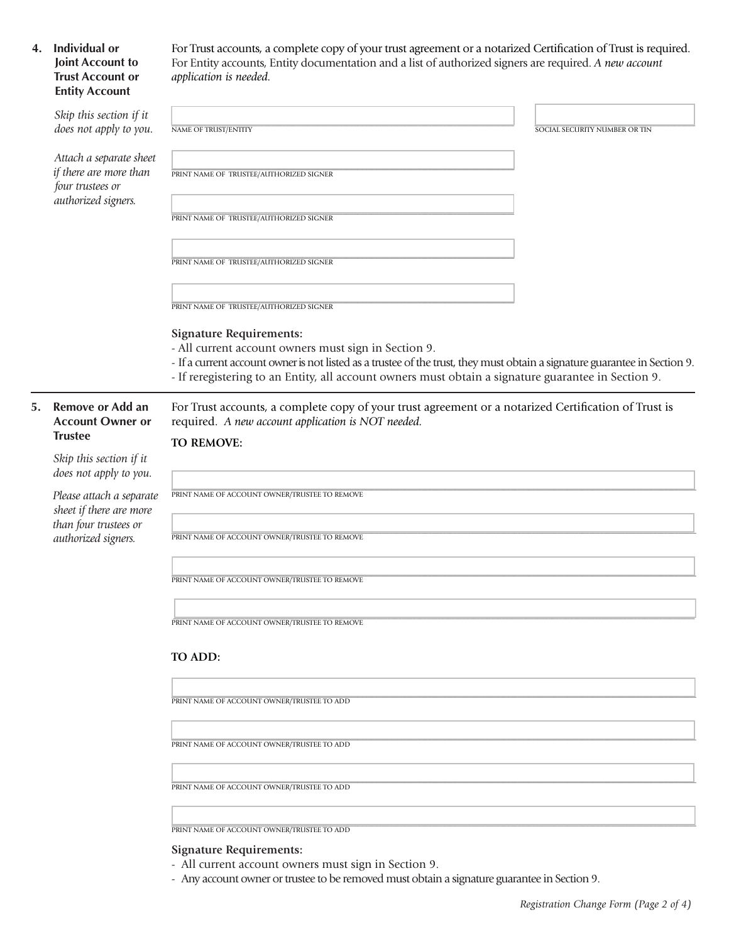# **4. Individual or Joint Account to Trust Account or Entity Account**

For Trust accounts, a complete copy of your trust agreement or a notarized Certification of Trust is required. For Entity accounts, Entity documentation and a list of authorized signers are required. *A new account application is needed.* 

|    | Skip this section if it                                                                             |                                                                                                                                                                          |                               |  |  |
|----|-----------------------------------------------------------------------------------------------------|--------------------------------------------------------------------------------------------------------------------------------------------------------------------------|-------------------------------|--|--|
|    | does not apply to you.                                                                              | <b>NAME OF TRUST/ENTITY</b>                                                                                                                                              | SOCIAL SECURITY NUMBER OR TIN |  |  |
|    | Attach a separate sheet                                                                             |                                                                                                                                                                          |                               |  |  |
|    | if there are more than<br>four trustees or<br>authorized signers.                                   | PRINT NAME OF TRUSTEE/AUTHORIZED SIGNER                                                                                                                                  |                               |  |  |
|    |                                                                                                     |                                                                                                                                                                          |                               |  |  |
|    |                                                                                                     | PRINT NAME OF TRUSTEE/AUTHORIZED SIGNER                                                                                                                                  |                               |  |  |
|    |                                                                                                     |                                                                                                                                                                          |                               |  |  |
|    |                                                                                                     |                                                                                                                                                                          |                               |  |  |
|    |                                                                                                     | PRINT NAME OF TRUSTEE/AUTHORIZED SIGNER                                                                                                                                  |                               |  |  |
|    |                                                                                                     |                                                                                                                                                                          |                               |  |  |
|    |                                                                                                     | PRINT NAME OF TRUSTEE/AUTHORIZED SIGNER                                                                                                                                  |                               |  |  |
|    |                                                                                                     | <b>Signature Requirements:</b>                                                                                                                                           |                               |  |  |
|    |                                                                                                     | - All current account owners must sign in Section 9.                                                                                                                     |                               |  |  |
|    |                                                                                                     | - If a current account owner is not listed as a trustee of the trust, they must obtain a signature guarantee in Section 9.                                               |                               |  |  |
|    |                                                                                                     | - If reregistering to an Entity, all account owners must obtain a signature guarantee in Section 9.                                                                      |                               |  |  |
| 5. | Remove or Add an<br><b>Account Owner or</b><br><b>Trustee</b>                                       | For Trust accounts, a complete copy of your trust agreement or a notarized Certification of Trust is<br>required. A new account application is NOT needed.<br>TO REMOVE: |                               |  |  |
|    | Skip this section if it<br>does not apply to you.                                                   |                                                                                                                                                                          |                               |  |  |
|    | Please attach a separate<br>sheet if there are more<br>than four trustees or<br>authorized signers. | PRINT NAME OF ACCOUNT OWNER/TRUSTEE TO REMOVE                                                                                                                            |                               |  |  |
|    |                                                                                                     |                                                                                                                                                                          |                               |  |  |
|    |                                                                                                     | PRINT NAME OF ACCOUNT OWNER/TRUSTEE TO REMOVE                                                                                                                            |                               |  |  |
|    |                                                                                                     |                                                                                                                                                                          |                               |  |  |
|    |                                                                                                     | PRINT NAME OF ACCOUNT OWNER/TRUSTEE TO REMOVE                                                                                                                            |                               |  |  |
|    |                                                                                                     |                                                                                                                                                                          |                               |  |  |
|    |                                                                                                     |                                                                                                                                                                          |                               |  |  |
|    |                                                                                                     | PRINT NAME OF ACCOUNT OWNER/TRUSTEE TO REMOVE                                                                                                                            |                               |  |  |
|    |                                                                                                     | TO ADD:                                                                                                                                                                  |                               |  |  |
|    |                                                                                                     |                                                                                                                                                                          |                               |  |  |
|    |                                                                                                     | PRINT NAME OF ACCOUNT OWNER/TRUSTEE TO ADD                                                                                                                               |                               |  |  |
|    |                                                                                                     |                                                                                                                                                                          |                               |  |  |
|    |                                                                                                     | PRINT NAME OF ACCOUNT OWNER/TRUSTEE TO ADD                                                                                                                               |                               |  |  |
|    |                                                                                                     |                                                                                                                                                                          |                               |  |  |

**\_\_\_\_\_\_\_\_\_\_\_\_\_\_\_\_\_\_\_\_\_\_\_\_\_\_\_\_\_\_\_\_\_\_\_\_\_\_\_\_\_\_\_\_\_\_\_\_\_\_\_\_\_\_\_\_\_\_\_\_\_\_\_\_\_\_\_\_\_\_\_\_\_\_\_\_\_\_\_\_\_\_\_\_\_\_\_\_\_\_\_\_\_\_\_\_\_\_\_\_\_\_\_\_\_\_\_\_\_\_\_\_\_\_\_\_\_\_\_\_\_\_\_\_\_\_\_\_\_\_\_\_\_\_\_\_\_\_\_\_\_\_\_\_\_\_\_** PRINT NAME OF ACCOUNT OWNER/TRUSTEE TO ADD

**\_\_\_\_\_\_\_\_\_\_\_\_\_\_\_\_\_\_\_\_\_\_\_\_\_\_\_\_\_\_\_\_\_\_\_\_\_\_\_\_\_\_\_\_\_\_\_\_\_\_\_\_\_\_\_\_\_\_\_\_\_\_\_\_\_\_\_\_\_\_\_\_\_\_\_\_\_\_\_\_\_\_\_\_\_\_\_\_\_\_\_\_\_\_\_\_\_\_\_\_\_\_\_\_\_\_\_\_\_\_\_\_\_\_\_\_\_\_\_\_\_\_\_\_\_\_\_\_\_\_\_\_\_\_\_\_\_\_\_\_\_\_\_\_\_\_\_** PRINT NAME OF ACCOUNT OWNER/TRUSTEE TO ADD

#### **Signature Requirements:**

- All current account owners must sign in Section 9.
- Any account owner or trustee to be removed must obtain a signature guarantee in Section 9.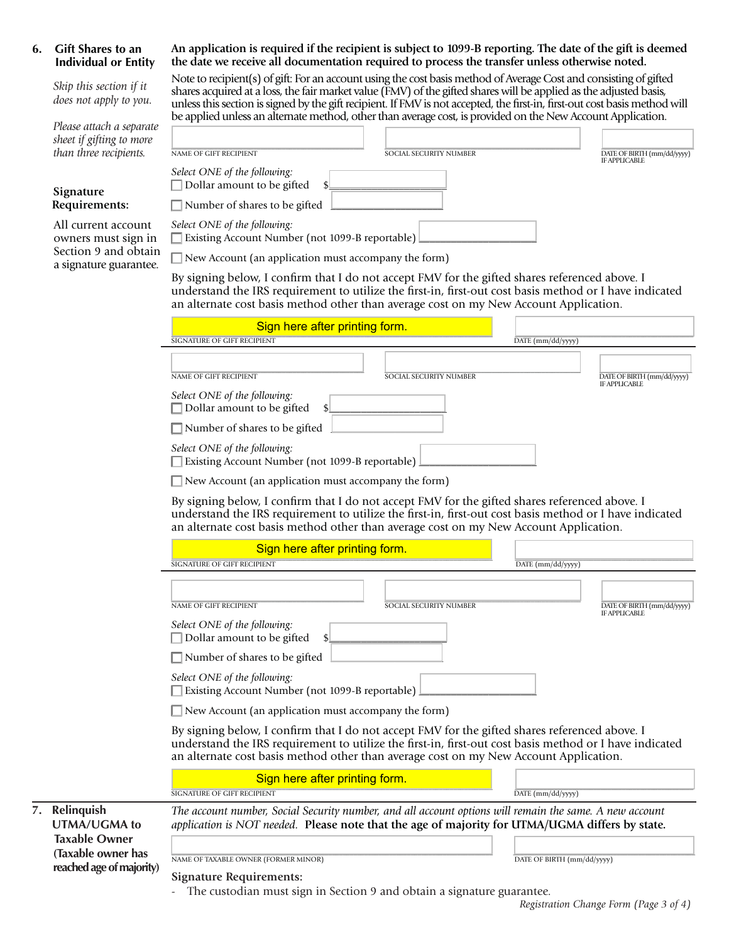### **6. Gift Shares to an Individual or Entity**

 *Skip this section if it does not apply to you.* 

 *Please attach a separate sheet if gifting to more than three recipients.* 

#### **Signature Requirements:**

 All current account owners must sign in Section 9 and obtain a signature guarantee.

### **An application is required if the recipient is subject to 1099-B reporting. The date of the gift is deemed the date we receive all documentation required to process the transfer unless otherwise noted.**

Note to recipient(s) of gift: For an account using the cost basis method of Average Cost and consisting of gifted shares acquired at a loss, the fair market value (FMV) of the gifted shares will be applied as the adjusted basis, unless this section is signed by the gift recipient. If FMV is not accepted, the first-in, first-out cost basis method will be applied unless an alternate method, other than average cost, is provided on the New Account Application.

|                                | NAME OF GIFT RECIPIENT                                                                                                                                                                                                                                                                             | SOCIAL SECURITY NUMBER        |  | DATE OF BIRTH (mm/dd/yyyy)<br><b>IF APPLICABLE</b> |  |
|--------------------------------|----------------------------------------------------------------------------------------------------------------------------------------------------------------------------------------------------------------------------------------------------------------------------------------------------|-------------------------------|--|----------------------------------------------------|--|
|                                | Select ONE of the following:<br>Dollar amount to be gifted                                                                                                                                                                                                                                         |                               |  |                                                    |  |
|                                | Number of shares to be gifted                                                                                                                                                                                                                                                                      |                               |  |                                                    |  |
|                                | Select ONE of the following:<br>Existing Account Number (not 1099-B reportable)                                                                                                                                                                                                                    |                               |  |                                                    |  |
|                                | New Account (an application must accompany the form)                                                                                                                                                                                                                                               |                               |  |                                                    |  |
|                                | By signing below, I confirm that I do not accept FMV for the gifted shares referenced above. I<br>understand the IRS requirement to utilize the first-in, first-out cost basis method or I have indicated<br>an alternate cost basis method other than average cost on my New Account Application. |                               |  |                                                    |  |
| Sign here after printing form. |                                                                                                                                                                                                                                                                                                    |                               |  |                                                    |  |
|                                | <b>SIGNATURE OF GIFT RECIPIENT</b><br>DATE (mm/dd/yyyy)                                                                                                                                                                                                                                            |                               |  |                                                    |  |
|                                | NAME OF GIFT RECIPIENT                                                                                                                                                                                                                                                                             | <b>SOCIAL SECURITY NUMBER</b> |  | DATE OF BIRTH (mm/dd/yyyy)<br><b>IF APPLICABLE</b> |  |
|                                | Select ONE of the following:<br>Dollar amount to be gifted                                                                                                                                                                                                                                         |                               |  |                                                    |  |
| Number of shares to be gifted  |                                                                                                                                                                                                                                                                                                    |                               |  |                                                    |  |
|                                | Select ONE of the following:<br>Existing Account Number (not 1099-B reportable)                                                                                                                                                                                                                    |                               |  |                                                    |  |

|                                            | Sign here after printing form.                                                                                                                                                                                                                                                                     |                                             |  |  |
|--------------------------------------------|----------------------------------------------------------------------------------------------------------------------------------------------------------------------------------------------------------------------------------------------------------------------------------------------------|---------------------------------------------|--|--|
|                                            | SIGNATURE OF GIFT RECIPIENT                                                                                                                                                                                                                                                                        | DATE (mm/dd/yyyy)                           |  |  |
|                                            | <b>NAME OF GIFT RECIPIENT</b><br><b>SOCIAL SECURITY NUMBER</b>                                                                                                                                                                                                                                     | DATE OF BIRTH (mm/dd/yyyy)                  |  |  |
|                                            | Select ONE of the following:<br>Dollar amount to be gifted                                                                                                                                                                                                                                         | IF APPLICABLE                               |  |  |
|                                            | $\Box$ Number of shares to be gifted                                                                                                                                                                                                                                                               |                                             |  |  |
|                                            | Select ONE of the following:<br>Existing Account Number (not 1099-B reportable)                                                                                                                                                                                                                    |                                             |  |  |
|                                            | $\Box$ New Account (an application must accompany the form)                                                                                                                                                                                                                                        |                                             |  |  |
|                                            | By signing below, I confirm that I do not accept FMV for the gifted shares referenced above. I<br>understand the IRS requirement to utilize the first-in, first-out cost basis method or I have indicated<br>an alternate cost basis method other than average cost on my New Account Application. |                                             |  |  |
|                                            | Sign here after printing form.                                                                                                                                                                                                                                                                     |                                             |  |  |
|                                            | <b>SIGNATURE OF GIFT RECIPIENT</b>                                                                                                                                                                                                                                                                 | DATE (mm/dd/yyyy)                           |  |  |
|                                            | <b>NAME OF GIFT RECIPIENT</b><br><b>SOCIAL SECURITY NUMBER</b>                                                                                                                                                                                                                                     | DATE OF BIRTH (mm/dd/yyyy)<br>IF APPLICABLE |  |  |
|                                            | Select ONE of the following:<br>Dollar amount to be gifted                                                                                                                                                                                                                                         |                                             |  |  |
|                                            | Number of shares to be gifted                                                                                                                                                                                                                                                                      |                                             |  |  |
|                                            | Select ONE of the following:<br>Existing Account Number (not 1099-B reportable)                                                                                                                                                                                                                    |                                             |  |  |
|                                            | $\Box$ New Account (an application must accompany the form)                                                                                                                                                                                                                                        |                                             |  |  |
|                                            | By signing below, I confirm that I do not accept FMV for the gifted shares referenced above. I<br>understand the IRS requirement to utilize the first-in, first-out cost basis method or I have indicated<br>an alternate cost basis method other than average cost on my New Account Application. |                                             |  |  |
|                                            | Sign here after printing form.<br><b>SIGNATURE OF GIFT RECIPIENT</b>                                                                                                                                                                                                                               | $\overline{\text{DATE (mm/dd/yyyy)}}$       |  |  |
|                                            |                                                                                                                                                                                                                                                                                                    |                                             |  |  |
| 7. Relinquish<br><b>UTMA/UGMA to</b>       | The account number, Social Security number, and all account options will remain the same. A new account<br>application is NOT needed. Please note that the age of majority for UTMA/UGMA differs by state.                                                                                         |                                             |  |  |
| <b>Taxable Owner</b><br>(Taxable owner has |                                                                                                                                                                                                                                                                                                    |                                             |  |  |
| reached age of majority)                   | NAME OF TAXABLE OWNER (FORMER MINOR)                                                                                                                                                                                                                                                               | DATE OF BIRTH (mm/dd/yyyy)                  |  |  |
|                                            | <b>Signature Requirements:</b>                                                                                                                                                                                                                                                                     |                                             |  |  |
|                                            | The custodian must sign in Section 9 and obtain a signature guarantee.                                                                                                                                                                                                                             |                                             |  |  |